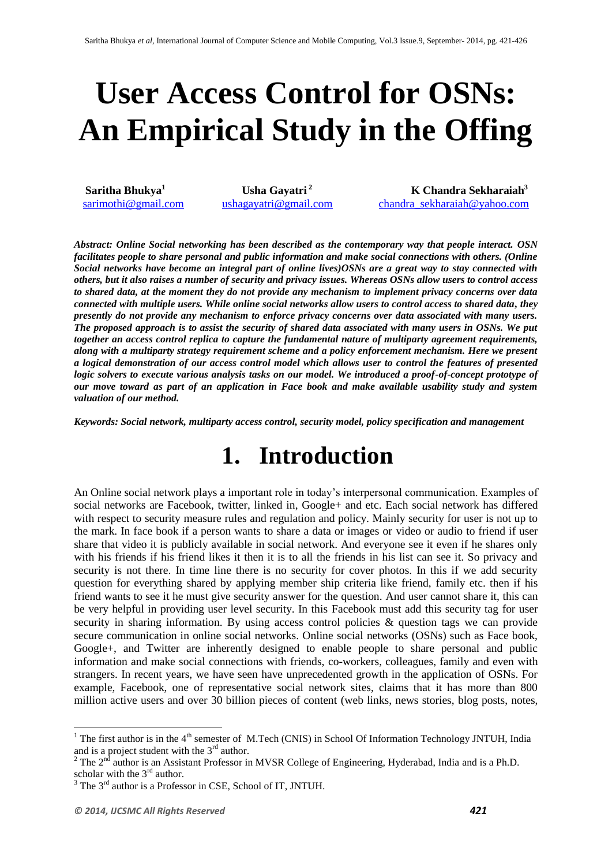# **User Access Control for OSNs: An Empirical Study in the Offing**

**Saritha Bhukya<sup>1</sup>**

 **Usha Gayatri <sup>2</sup>**

 **K Chandra Sekharaiah<sup>3</sup>** [sarimothi@gmail.com](mailto:sarimothi@gmail.com) [ushagayatri@gmail.com](mailto:ushagayatri@gmail.com) [chandra\\_sekharaiah@yahoo.com](mailto:chandra_sekharaiah@yahoo.com)

*Abstract: Online Social networking has been described as the contemporary way that people interact. OSN facilitates people to share personal and public information and make social connections with others. (Online Social networks have become an integral part of online lives)OSNs are a great way to stay connected with others, but it also raises a number of security and privacy issues. Whereas OSNs allow users to control access to shared data, at the moment they do not provide any mechanism to implement privacy concerns over data connected with multiple users. While online social networks allow users to control access to shared data, they presently do not provide any mechanism to enforce privacy concerns over data associated with many users. The proposed approach is to assist the security of shared data associated with many users in OSNs. We put together an access control replica to capture the fundamental nature of multiparty agreement requirements, along with a multiparty strategy requirement scheme and a policy enforcement mechanism. Here we present a logical demonstration of our access control model which allows user to control the features of presented logic solvers to execute various analysis tasks on our model. We introduced a proof-of-concept prototype of our move toward as part of an application in Face book and make available usability study and system valuation of our method.*

*Keywords: Social network, multiparty access control, security model, policy specification and management*

### **1. Introduction**

An Online social network plays a important role in today's interpersonal communication. Examples of social networks are Facebook, twitter, linked in, Google+ and etc. Each social network has differed with respect to security measure rules and regulation and policy. Mainly security for user is not up to the mark. In face book if a person wants to share a data or images or video or audio to friend if user share that video it is publicly available in social network. And everyone see it even if he shares only with his friends if his friend likes it then it is to all the friends in his list can see it. So privacy and security is not there. In time line there is no security for cover photos. In this if we add security question for everything shared by applying member ship criteria like friend, family etc. then if his friend wants to see it he must give security answer for the question. And user cannot share it, this can be very helpful in providing user level security. In this Facebook must add this security tag for user security in sharing information. By using access control policies & question tags we can provide secure communication in online social networks. Online social networks (OSNs) such as Face book, Google+, and Twitter are inherently designed to enable people to share personal and public information and make social connections with friends, co-workers, colleagues, family and even with strangers. In recent years, we have seen have unprecedented growth in the application of OSNs. For example, Facebook, one of representative social network sites, claims that it has more than 800 million active users and over 30 billion pieces of content (web links, news stories, blog posts, notes,

**.** 

 $1$  The first author is in the  $4<sup>th</sup>$  semester of M.Tech (CNIS) in School Of Information Technology JNTUH, India and is a project student with the  $3<sup>rd</sup>$  author.

<sup>&</sup>lt;sup>2</sup> The  $2<sup>nd</sup>$  author is an Assistant Professor in MVSR College of Engineering, Hyderabad, India and is a Ph.D. scholar with the  $3<sup>rd</sup>$  author.

 $3$  The  $3<sup>rd</sup>$  author is a Professor in CSE, School of IT, JNTUH.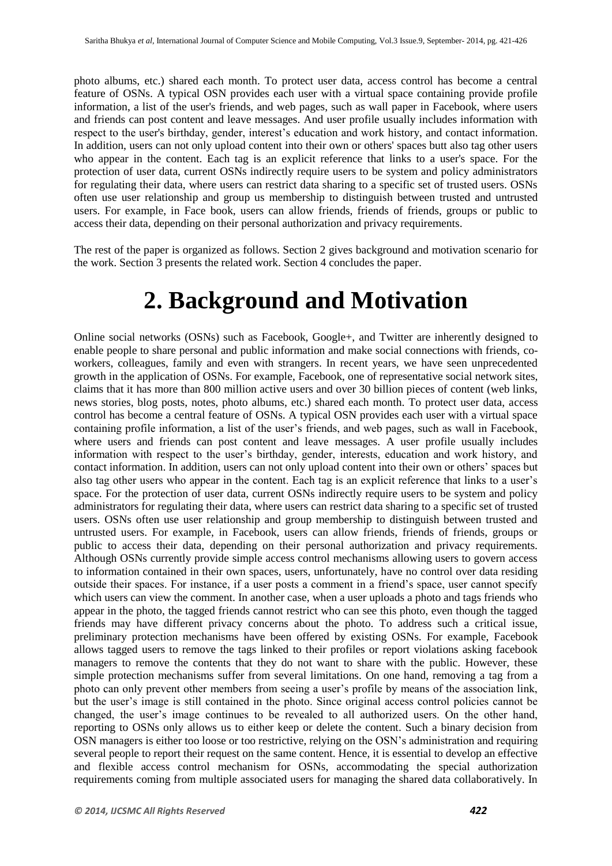photo albums, etc.) shared each month. To protect user data, access control has become a central feature of OSNs. A typical OSN provides each user with a virtual space containing provide profile information, a list of the user's friends, and web pages, such as wall paper in Facebook, where users and friends can post content and leave messages. And user profile usually includes information with respect to the user's birthday, gender, interest's education and work history, and contact information. In addition, users can not only upload content into their own or others' spaces butt also tag other users who appear in the content. Each tag is an explicit reference that links to a user's space. For the protection of user data, current OSNs indirectly require users to be system and policy administrators for regulating their data, where users can restrict data sharing to a specific set of trusted users. OSNs often use user relationship and group us membership to distinguish between trusted and untrusted users. For example, in Face book, users can allow friends, friends of friends, groups or public to access their data, depending on their personal authorization and privacy requirements.

The rest of the paper is organized as follows. Section 2 gives background and motivation scenario for the work. Section 3 presents the related work. Section 4 concludes the paper.

### **2. Background and Motivation**

Online social networks (OSNs) such as Facebook, Google+, and Twitter are inherently designed to enable people to share personal and public information and make social connections with friends, coworkers, colleagues, family and even with strangers. In recent years, we have seen unprecedented growth in the application of OSNs. For example, Facebook, one of representative social network sites, claims that it has more than 800 million active users and over 30 billion pieces of content (web links, news stories, blog posts, notes, photo albums, etc.) shared each month. To protect user data, access control has become a central feature of OSNs. A typical OSN provides each user with a virtual space containing profile information, a list of the user's friends, and web pages, such as wall in Facebook, where users and friends can post content and leave messages. A user profile usually includes information with respect to the user's birthday, gender, interests, education and work history, and contact information. In addition, users can not only upload content into their own or others' spaces but also tag other users who appear in the content. Each tag is an explicit reference that links to a user's space. For the protection of user data, current OSNs indirectly require users to be system and policy administrators for regulating their data, where users can restrict data sharing to a specific set of trusted users. OSNs often use user relationship and group membership to distinguish between trusted and untrusted users. For example, in Facebook, users can allow friends, friends of friends, groups or public to access their data, depending on their personal authorization and privacy requirements. Although OSNs currently provide simple access control mechanisms allowing users to govern access to information contained in their own spaces, users, unfortunately, have no control over data residing outside their spaces. For instance, if a user posts a comment in a friend's space, user cannot specify which users can view the comment. In another case, when a user uploads a photo and tags friends who appear in the photo, the tagged friends cannot restrict who can see this photo, even though the tagged friends may have different privacy concerns about the photo. To address such a critical issue, preliminary protection mechanisms have been offered by existing OSNs. For example, Facebook allows tagged users to remove the tags linked to their profiles or report violations asking facebook managers to remove the contents that they do not want to share with the public. However, these simple protection mechanisms suffer from several limitations. On one hand, removing a tag from a photo can only prevent other members from seeing a user's profile by means of the association link, but the user's image is still contained in the photo. Since original access control policies cannot be changed, the user's image continues to be revealed to all authorized users. On the other hand, reporting to OSNs only allows us to either keep or delete the content. Such a binary decision from OSN managers is either too loose or too restrictive, relying on the OSN's administration and requiring several people to report their request on the same content. Hence, it is essential to develop an effective and flexible access control mechanism for OSNs, accommodating the special authorization requirements coming from multiple associated users for managing the shared data collaboratively. In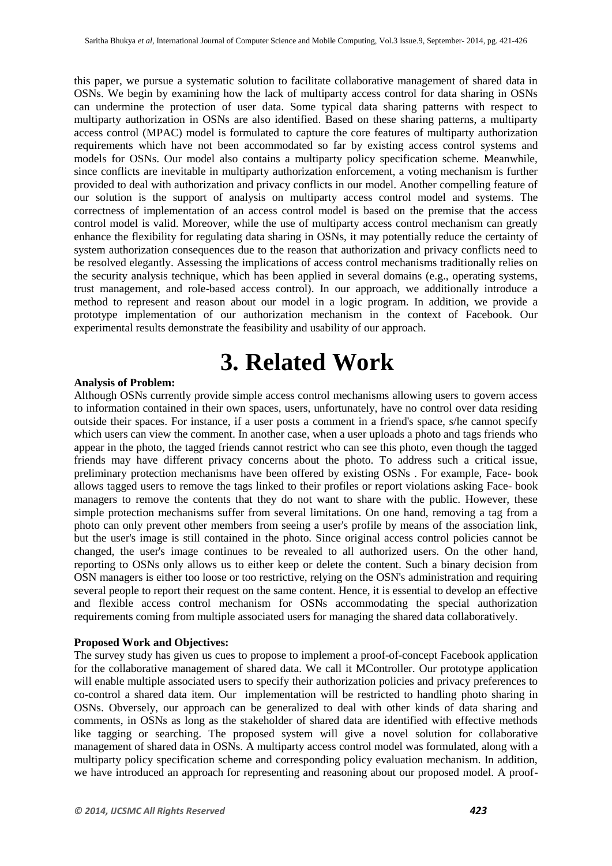this paper, we pursue a systematic solution to facilitate collaborative management of shared data in OSNs. We begin by examining how the lack of multiparty access control for data sharing in OSNs can undermine the protection of user data. Some typical data sharing patterns with respect to multiparty authorization in OSNs are also identified. Based on these sharing patterns, a multiparty access control (MPAC) model is formulated to capture the core features of multiparty authorization requirements which have not been accommodated so far by existing access control systems and models for OSNs. Our model also contains a multiparty policy specification scheme. Meanwhile, since conflicts are inevitable in multiparty authorization enforcement, a voting mechanism is further provided to deal with authorization and privacy conflicts in our model. Another compelling feature of our solution is the support of analysis on multiparty access control model and systems. The correctness of implementation of an access control model is based on the premise that the access control model is valid. Moreover, while the use of multiparty access control mechanism can greatly enhance the flexibility for regulating data sharing in OSNs, it may potentially reduce the certainty of system authorization consequences due to the reason that authorization and privacy conflicts need to be resolved elegantly. Assessing the implications of access control mechanisms traditionally relies on the security analysis technique, which has been applied in several domains (e.g., operating systems, trust management, and role-based access control). In our approach, we additionally introduce a method to represent and reason about our model in a logic program. In addition, we provide a prototype implementation of our authorization mechanism in the context of Facebook. Our experimental results demonstrate the feasibility and usability of our approach.

# **3. Related Work**

#### **Analysis of Problem:**

Although OSNs currently provide simple access control mechanisms allowing users to govern access to information contained in their own spaces, users, unfortunately, have no control over data residing outside their spaces. For instance, if a user posts a comment in a friend's space, s/he cannot specify which users can view the comment. In another case, when a user uploads a photo and tags friends who appear in the photo, the tagged friends cannot restrict who can see this photo, even though the tagged friends may have different privacy concerns about the photo. To address such a critical issue, preliminary protection mechanisms have been offered by existing OSNs . For example, Face- book allows tagged users to remove the tags linked to their profiles or report violations asking Face- book managers to remove the contents that they do not want to share with the public. However, these simple protection mechanisms suffer from several limitations. On one hand, removing a tag from a photo can only prevent other members from seeing a user's profile by means of the association link, but the user's image is still contained in the photo. Since original access control policies cannot be changed, the user's image continues to be revealed to all authorized users. On the other hand, reporting to OSNs only allows us to either keep or delete the content. Such a binary decision from OSN managers is either too loose or too restrictive, relying on the OSN's administration and requiring several people to report their request on the same content. Hence, it is essential to develop an effective and flexible access control mechanism for OSNs accommodating the special authorization requirements coming from multiple associated users for managing the shared data collaboratively.

#### **Proposed Work and Objectives:**

The survey study has given us cues to propose to implement a proof-of-concept Facebook application for the collaborative management of shared data. We call it MController. Our prototype application will enable multiple associated users to specify their authorization policies and privacy preferences to co-control a shared data item. Our implementation will be restricted to handling photo sharing in OSNs. Obversely, our approach can be generalized to deal with other kinds of data sharing and comments, in OSNs as long as the stakeholder of shared data are identified with effective methods like tagging or searching. The proposed system will give a novel solution for collaborative management of shared data in OSNs. A multiparty access control model was formulated, along with a multiparty policy specification scheme and corresponding policy evaluation mechanism. In addition, we have introduced an approach for representing and reasoning about our proposed model. A proof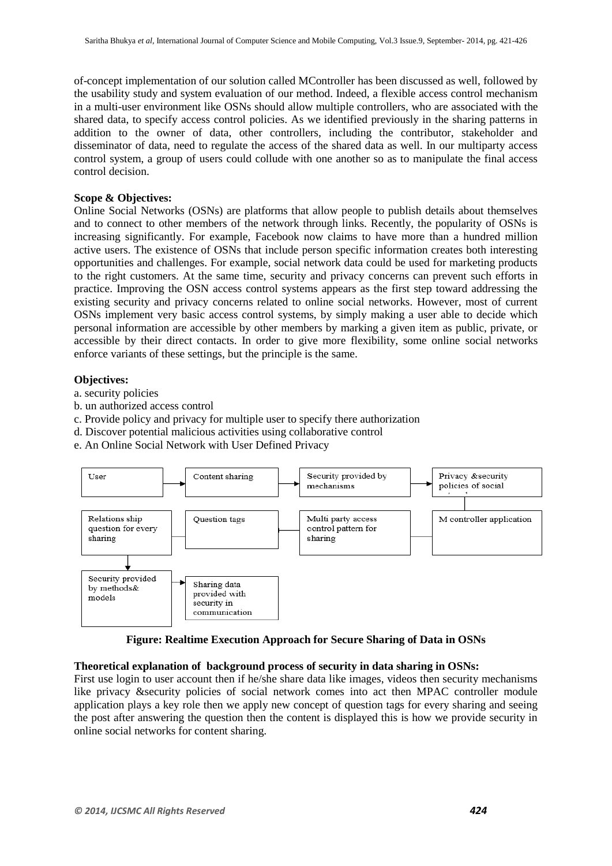of-concept implementation of our solution called MController has been discussed as well, followed by the usability study and system evaluation of our method. Indeed, a flexible access control mechanism in a multi-user environment like OSNs should allow multiple controllers, who are associated with the shared data, to specify access control policies. As we identified previously in the sharing patterns in addition to the owner of data, other controllers, including the contributor, stakeholder and disseminator of data, need to regulate the access of the shared data as well. In our multiparty access control system, a group of users could collude with one another so as to manipulate the final access control decision.

#### **Scope & Objectives:**

Online Social Networks (OSNs) are platforms that allow people to publish details about themselves and to connect to other members of the network through links. Recently, the popularity of OSNs is increasing significantly. For example, Facebook now claims to have more than a hundred million active users. The existence of OSNs that include person specific information creates both interesting opportunities and challenges. For example, social network data could be used for marketing products to the right customers. At the same time, security and privacy concerns can prevent such efforts in practice. Improving the OSN access control systems appears as the first step toward addressing the existing security and privacy concerns related to online social networks. However, most of current OSNs implement very basic access control systems, by simply making a user able to decide which personal information are accessible by other members by marking a given item as public, private, or accessible by their direct contacts. In order to give more flexibility, some online social networks enforce variants of these settings, but the principle is the same.

#### **Objectives:**

- a. security policies
- b. un authorized access control
- c. Provide policy and privacy for multiple user to specify there authorization
- d. Discover potential malicious activities using collaborative control
- e. An Online Social Network with User Defined Privacy





#### **Theoretical explanation of background process of security in data sharing in OSNs:**

First use login to user account then if he/she share data like images, videos then security mechanisms like privacy &security policies of social network comes into act then MPAC controller module application plays a key role then we apply new concept of question tags for every sharing and seeing the post after answering the question then the content is displayed this is how we provide security in online social networks for content sharing.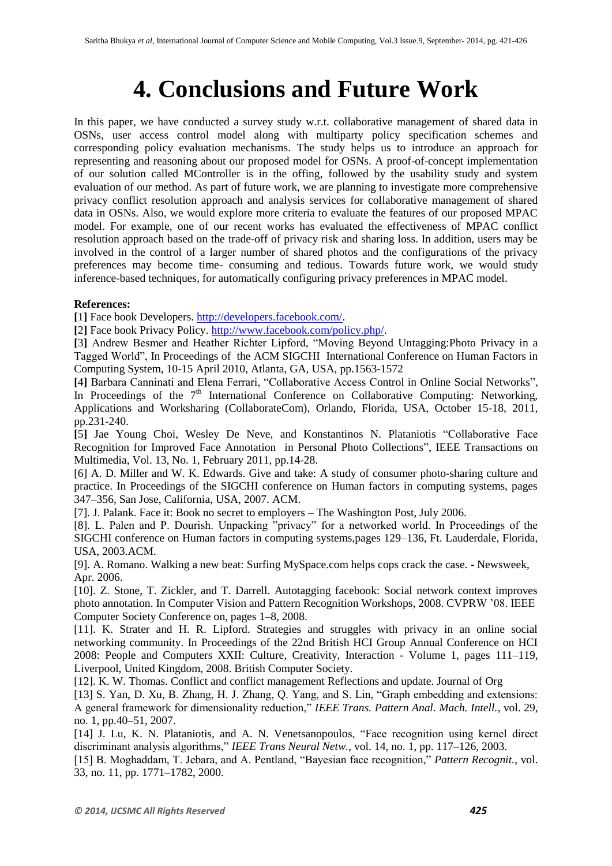## **4. Conclusions and Future Work**

In this paper, we have conducted a survey study w.r.t. collaborative management of shared data in OSNs, user access control model along with multiparty policy specification schemes and corresponding policy evaluation mechanisms. The study helps us to introduce an approach for representing and reasoning about our proposed model for OSNs. A proof-of-concept implementation of our solution called MController is in the offing, followed by the usability study and system evaluation of our method. As part of future work, we are planning to investigate more comprehensive privacy conflict resolution approach and analysis services for collaborative management of shared data in OSNs. Also, we would explore more criteria to evaluate the features of our proposed MPAC model. For example, one of our recent works has evaluated the effectiveness of MPAC conflict resolution approach based on the trade-off of privacy risk and sharing loss. In addition, users may be involved in the control of a larger number of shared photos and the configurations of the privacy preferences may become time- consuming and tedious. Towards future work, we would study inference-based techniques, for automatically configuring privacy preferences in MPAC model.

#### **References:**

**[**1**]** Face book Developers. [http://developers.facebook.com/.](http://developers.facebook.com/)

**[**2**]** Face book Privacy Policy. [http://www.facebook.com/policy.php/.](http://www.facebook.com/policy.php/)

**[**3**]** Andrew Besmer and Heather Richter Lipford, "Moving Beyond Untagging:Photo Privacy in a Tagged World", In Proceedings of the ACM SIGCHI International Conference on Human Factors in Computing System, 10-15 April 2010, Atlanta, GA, USA, pp.1563-1572

**[**4**]** Barbara Canninati and Elena Ferrari, "Collaborative Access Control in Online Social Networks", In Proceedings of the  $7<sup>th</sup>$  International Conference on Collaborative Computing: Networking, Applications and Worksharing (CollaborateCom), Orlando, Florida, USA, October 15-18, 2011, pp.231-240.

**[**5**]** Jae Young Choi, Wesley De Neve, and Konstantinos N. Plataniotis "Collaborative Face Recognition for Improved Face Annotation in Personal Photo Collections", IEEE Transactions on Multimedia, Vol. 13, No. 1, February 2011, pp.14-28.

[6] A. D. Miller and W. K. Edwards. Give and take: A study of consumer photo-sharing culture and practice. In Proceedings of the SIGCHI conference on Human factors in computing systems, pages 347–356, San Jose, California, USA, 2007. ACM.

[7]. J. Palank. Face it: Book no secret to employers – The Washington Post, July 2006.

[8]. L. Palen and P. Dourish. Unpacking "privacy" for a networked world. In Proceedings of the SIGCHI conference on Human factors in computing systems,pages 129–136, Ft. Lauderdale, Florida, USA, 2003.ACM.

[9]. A. Romano. Walking a new beat: Surfing MySpace.com helps cops crack the case. - Newsweek, Apr. 2006.

[10]. Z. Stone, T. Zickler, and T. Darrell. Autotagging facebook: Social network context improves photo annotation. In Computer Vision and Pattern Recognition Workshops, 2008. CVPRW '08. IEEE Computer Society Conference on, pages 1–8, 2008.

[11]. K. Strater and H. R. Lipford. Strategies and struggles with privacy in an online social networking community. In Proceedings of the 22nd British HCI Group Annual Conference on HCI 2008: People and Computers XXII: Culture, Creativity, Interaction - Volume 1, pages 111–119, Liverpool, United Kingdom, 2008. British Computer Society.

[12]. K. W. Thomas. Conflict and conflict management Reflections and update. Journal of Org

[13] S. Yan, D. Xu, B. Zhang, H. J. Zhang, Q. Yang, and S. Lin, "Graph embedding and extensions: A general framework for dimensionality reduction," *IEEE Trans. Pattern Anal. Mach. Intell.*, vol. 29, no. 1, pp.40–51, 2007.

[14] J. Lu, K. N. Plataniotis, and A. N. Venetsanopoulos, "Face recognition using kernel direct discriminant analysis algorithms," *IEEE Trans Neural Netw.*, vol. 14, no. 1, pp. 117–126, 2003.

[15] B. Moghaddam, T. Jebara, and A. Pentland, "Bayesian face recognition," *Pattern Recognit.*, vol. 33, no. 11, pp. 1771–1782, 2000.